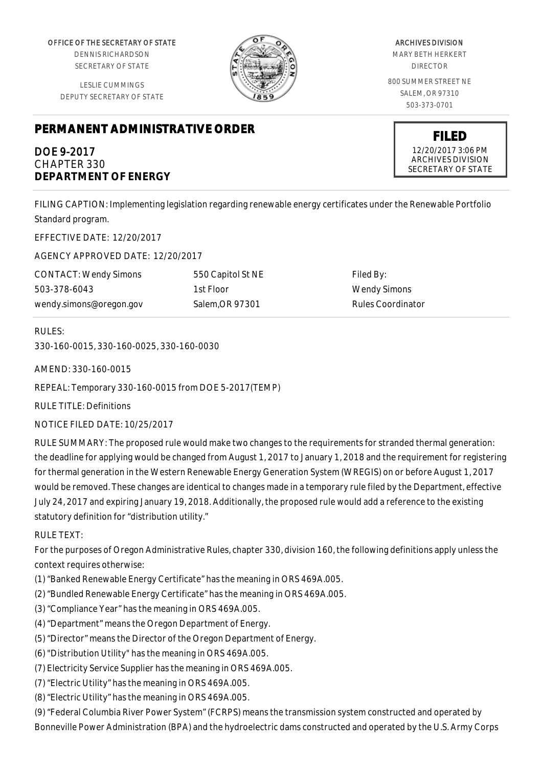OFFICE OF THE SECRETARY OF STATE

DENNIS RICHARDSON SECRETARY OF STATE

LESLIE CUMMINGS DEPUTY SECRETARY OF STATE

# **PERMANENT ADMINISTRATIVE ORDER**

## DOE 9-2017 CHAPTER 330 **DEPARTMENT OF ENERGY**

ARCHIVES DIVISION MARY BETH HERKERT DIRECTOR 800 SUMMER STREET NE SALEM, OR 97310

503-373-0701

**FILED** 12/20/2017 3:06 PM ARCHIVES DIVISION SECRETARY OF STATE

FILING CAPTION: Implementing legislation regarding renewable energy certificates under the Renewable Portfolio Standard program.

EFFECTIVE DATE: 12/20/2017

AGENCY APPROVED DATE: 12/20/2017

CONTACT: Wendy Simons 503-378-6043 wendy.simons@oregon.gov 550 Capitol St NE 1st Floor Salem,OR 97301

Filed By: Wendy Simons Rules Coordinator

## RULES:

330-160-0015, 330-160-0025, 330-160-0030

AMEND: 330-160-0015

REPEAL: Temporary 330-160-0015 from DOE 5-2017(TEMP)

RULE TITLE: Definitions

NOTICE FILED DATE: 10/25/2017

RULE SUMMARY: The proposed rule would make two changes to the requirements for stranded thermal generation: the deadline for applying would be changed from August 1, 2017 to January 1, 2018 and the requirement for registering for thermal generation in the Western Renewable Energy Generation System (WREGIS) on or before August 1, 2017 would be removed. These changes are identical to changes made in a temporary rule filed by the Department, effective July 24, 2017 and expiring January 19, 2018. Additionally, the proposed rule would add a reference to the existing statutory definition for "distribution utility."

## RULE TEXT:

For the purposes of Oregon Administrative Rules, chapter 330, division 160, the following definitions apply unless the context requires otherwise:

- (1) "Banked Renewable Energy Certificate" has the meaning in ORS 469A.005.
- (2) "Bundled Renewable Energy Certificate" has the meaning in ORS 469A.005.
- (3) "Compliance Year" has the meaning in ORS 469A.005.
- (4) "Department" means the Oregon Department of Energy.
- (5) "Director" means the Director of the Oregon Department of Energy.
- (6) "Distribution Utility" has the meaning in ORS 469A.005.
- (7) Electricity Service Supplier has the meaning in ORS 469A.005.
- (7) "Electric Utility" has the meaning in ORS 469A.005.
- (8) "Electric Utility" has the meaning in ORS 469A.005.

(9) "Federal Columbia River Power System" (FCRPS) means the transmission system constructed and operated by Bonneville Power Administration (BPA) and the hydroelectric dams constructed and operated by the U.S. Army Corps

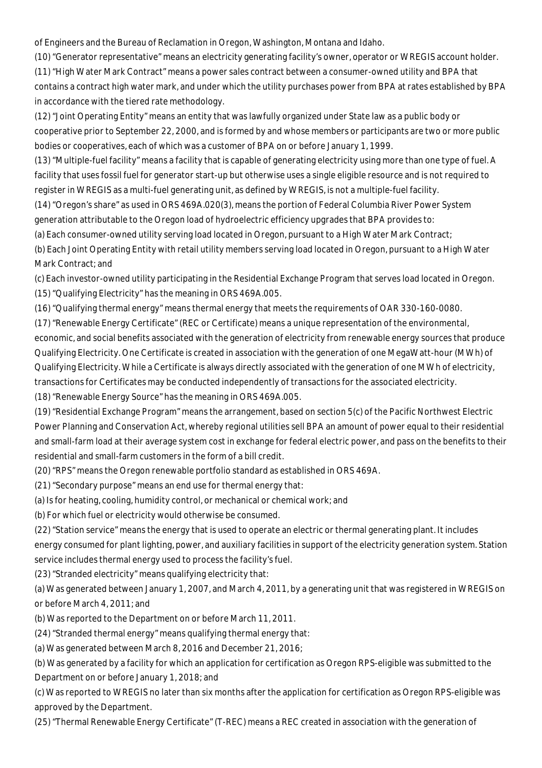of Engineers and the Bureau of Reclamation in Oregon, Washington, Montana and Idaho.

(10) "Generator representative" means an electricity generating facility's owner, operator or WREGIS account holder. (11) "High Water Mark Contract" means a power sales contract between a consumer-owned utility and BPA that contains a contract high water mark, and under which the utility purchases power from BPA at rates established by BPA in accordance with the tiered rate methodology.

(12) "Joint Operating Entity" means an entity that was lawfully organized under State law as a public body or cooperative prior to September 22, 2000, and is formed by and whose members or participants are two or more public bodies or cooperatives, each of which was a customer of BPA on or before January 1, 1999.

(13) "Multiple-fuel facility" means a facility that is capable of generating electricity using more than one type of fuel. A facility that uses fossil fuel for generator start-up but otherwise uses a single eligible resource and is not required to register in WREGIS as a multi-fuel generating unit, as defined by WREGIS, is not a multiple-fuel facility.

(14) "Oregon's share" as used in ORS 469A.020(3), means the portion of Federal Columbia River Power System generation attributable to the Oregon load of hydroelectric efficiency upgrades that BPA provides to:

(a) Each consumer-owned utility serving load located in Oregon, pursuant to a High Water Mark Contract;

(b) Each Joint Operating Entity with retail utility members serving load located in Oregon, pursuant to a High Water Mark Contract; and

(c) Each investor-owned utility participating in the Residential Exchange Program that serves load located in Oregon. (15) "Qualifying Electricity" has the meaning in ORS 469A.005.

(16) "Qualifying thermal energy" means thermal energy that meets the requirements of OAR 330-160-0080.

(17) "Renewable Energy Certificate" (REC or Certificate) means a unique representation of the environmental, economic, and social benefits associated with the generation of electricity from renewable energy sources that produce Qualifying Electricity. One Certificate is created in association with the generation of one MegaWatt-hour (MWh) of Qualifying Electricity. While a Certificate is always directly associated with the generation of one MWh of electricity, transactions for Certificates may be conducted independently of transactions for the associated electricity.

(18) "Renewable Energy Source" has the meaning in ORS 469A.005.

(19) "Residential Exchange Program" means the arrangement, based on section 5(c) of the Pacific Northwest Electric Power Planning and Conservation Act, whereby regional utilities sell BPA an amount of power equal to their residential and small-farm load at their average system cost in exchange for federal electric power, and pass on the benefits to their residential and small-farm customers in the form of a bill credit.

(20) "RPS" means the Oregon renewable portfolio standard as established in ORS 469A.

(21) "Secondary purpose" means an end use for thermal energy that:

(a) Is for heating, cooling, humidity control, or mechanical or chemical work; and

(b) For which fuel or electricity would otherwise be consumed.

(22) "Station service" means the energy that is used to operate an electric or thermal generating plant. It includes energy consumed for plant lighting, power, and auxiliary facilities in support of the electricity generation system. Station service includes thermal energy used to process the facility's fuel.

(23) "Stranded electricity" means qualifying electricity that:

(a) Was generated between January 1, 2007, and March 4, 2011, by a generating unit that was registered in WREGIS on or before March 4, 2011; and

(b) Was reported to the Department on or before March 11, 2011.

(24) "Stranded thermal energy" means qualifying thermal energy that:

(a) Was generated between March 8, 2016 and December 21, 2016;

(b) Was generated by a facility for which an application for certification as Oregon RPS-eligible was submitted to the Department on or before January 1, 2018; and

(c) Was reported to WREGIS no later than six months after the application for certification as Oregon RPS-eligible was approved by the Department.

(25) "Thermal Renewable Energy Certificate" (T-REC) means a REC created in association with the generation of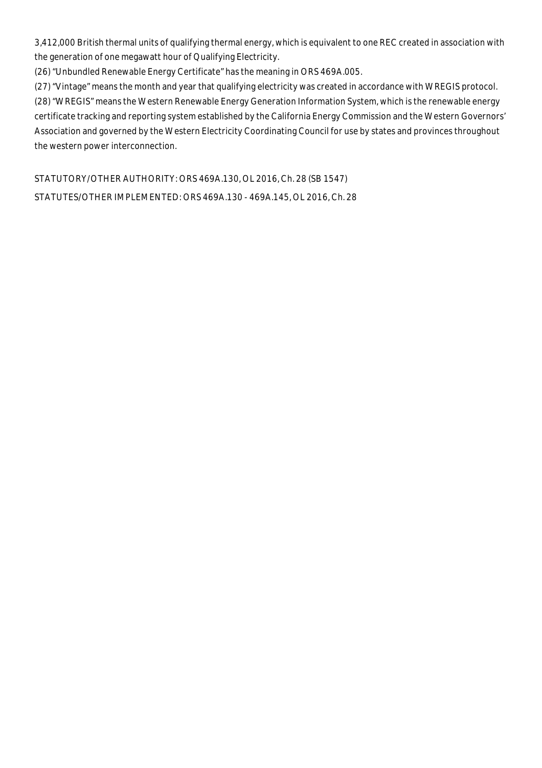3,412,000 British thermal units of qualifying thermal energy, which is equivalent to one REC created in association with the generation of one megawatt hour of Qualifying Electricity.

(26) "Unbundled Renewable Energy Certificate" has the meaning in ORS 469A.005.

(27) "Vintage" means the month and year that qualifying electricity was created in accordance with WREGIS protocol. (28) "WREGIS" means the Western Renewable Energy Generation Information System, which is the renewable energy certificate tracking and reporting system established by the California Energy Commission and the Western Governors' Association and governed by the Western Electricity Coordinating Council for use by states and provinces throughout the western power interconnection.

STATUTORY/OTHER AUTHORITY: ORS 469A.130, OL 2016, Ch. 28 (SB 1547) STATUTES/OTHER IMPLEMENTED: ORS 469A.130 - 469A.145, OL 2016, Ch. 28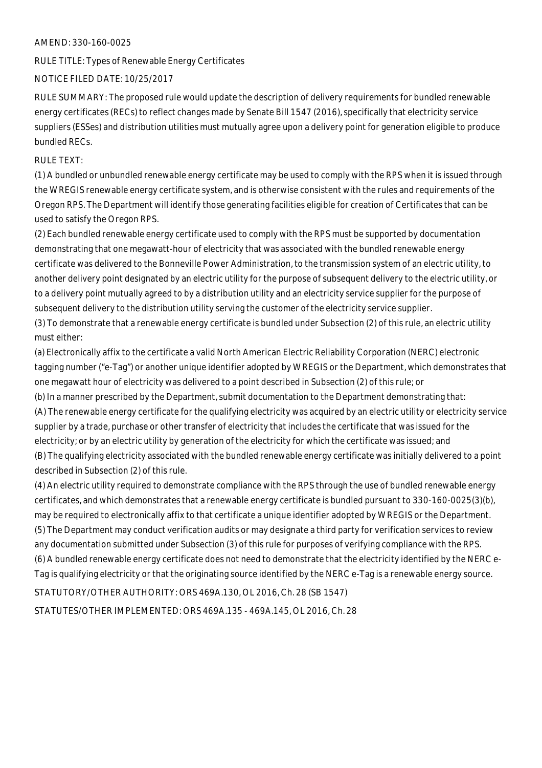#### AMEND: 330-160-0025

RULE TITLE: Types of Renewable Energy Certificates

## NOTICE FILED DATE: 10/25/2017

RULE SUMMARY: The proposed rule would update the description of delivery requirements for bundled renewable energy certificates (RECs) to reflect changes made by Senate Bill 1547 (2016), specifically that electricity service suppliers (ESSes) and distribution utilities must mutually agree upon a delivery point for generation eligible to produce bundled RECs.

## RULE TEXT:

(1) A bundled or unbundled renewable energy certificate may be used to comply with the RPS when it is issued through the WREGIS renewable energy certificate system, and is otherwise consistent with the rules and requirements of the Oregon RPS. The Department will identify those generating facilities eligible for creation of Certificates that can be used to satisfy the Oregon RPS.

(2) Each bundled renewable energy certificate used to comply with the RPS must be supported by documentation demonstrating that one megawatt-hour of electricity that was associated with the bundled renewable energy certificate was delivered to the Bonneville Power Administration, to the transmission system of an electric utility, to another delivery point designated by an electric utility for the purpose of subsequent delivery to the electric utility, or to a delivery point mutually agreed to by a distribution utility and an electricity service supplier for the purpose of subsequent delivery to the distribution utility serving the customer of the electricity service supplier.

(3) To demonstrate that a renewable energy certificate is bundled under Subsection (2) of this rule, an electric utility must either:

(a) Electronically affix to the certificate a valid North American Electric Reliability Corporation (NERC) electronic tagging number ("e-Tag") or another unique identifier adopted by WREGIS or the Department, which demonstrates that one megawatt hour of electricity was delivered to a point described in Subsection (2) of this rule; or

(b) In a manner prescribed by the Department, submit documentation to the Department demonstrating that: (A) The renewable energy certificate for the qualifying electricity was acquired by an electric utility or electricity service supplier by a trade, purchase or other transfer of electricity that includes the certificate that was issued for the electricity; or by an electric utility by generation of the electricity for which the certificate was issued; and (B) The qualifying electricity associated with the bundled renewable energy certificate was initially delivered to a point described in Subsection (2) of this rule.

(4) An electric utility required to demonstrate compliance with the RPS through the use of bundled renewable energy certificates, and which demonstrates that a renewable energy certificate is bundled pursuant to 330-160-0025(3)(b), may be required to electronically affix to that certificate a unique identifier adopted by WREGIS or the Department. (5) The Department may conduct verification audits or may designate a third party for verification services to review any documentation submitted under Subsection (3) of this rule for purposes of verifying compliance with the RPS. (6) A bundled renewable energy certificate does not need to demonstrate that the electricity identified by the NERC e-Tag is qualifying electricity or that the originating source identified by the NERC e-Tag is a renewable energy source.

STATUTORY/OTHER AUTHORITY: ORS 469A.130, OL 2016, Ch. 28 (SB 1547)

STATUTES/OTHER IMPLEMENTED: ORS 469A.135 - 469A.145, OL 2016, Ch. 28